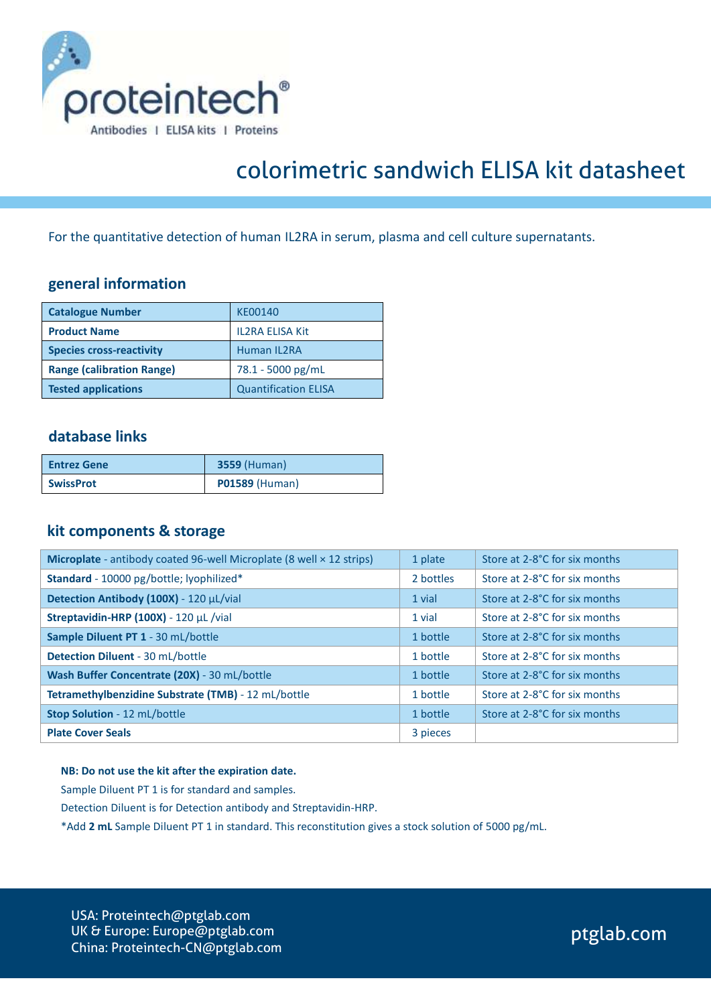

# colorimetric sandwich ELISA kit datasheet

For the quantitative detection of human IL2RA in serum, plasma and cell culture supernatants.

## **general information**

| <b>Catalogue Number</b>          | KE00140                     |
|----------------------------------|-----------------------------|
| <b>Product Name</b>              | <b>IL2RA ELISA Kit</b>      |
| <b>Species cross-reactivity</b>  | <b>Human IL2RA</b>          |
| <b>Range (calibration Range)</b> | 78.1 - 5000 pg/mL           |
| <b>Tested applications</b>       | <b>Quantification ELISA</b> |

## **database links**

| <b>Entrez Gene</b> | <b>3559 (Human)</b>   |
|--------------------|-----------------------|
| <b>SwissProt</b>   | <b>P01589 (Human)</b> |

### **kit components & storage**

| Microplate - antibody coated 96-well Microplate (8 well × 12 strips) | 1 plate   | Store at 2-8°C for six months |
|----------------------------------------------------------------------|-----------|-------------------------------|
| Standard - 10000 pg/bottle; lyophilized*                             | 2 bottles | Store at 2-8°C for six months |
| Detection Antibody (100X) - 120 µL/vial                              | 1 vial    | Store at 2-8°C for six months |
| Streptavidin-HRP (100X) - 120 µL /vial                               | 1 vial    | Store at 2-8°C for six months |
| Sample Diluent PT 1 - 30 mL/bottle                                   | 1 bottle  | Store at 2-8°C for six months |
| <b>Detection Diluent - 30 mL/bottle</b>                              | 1 bottle  | Store at 2-8°C for six months |
| Wash Buffer Concentrate (20X) - 30 mL/bottle                         | 1 bottle  | Store at 2-8°C for six months |
| Tetramethylbenzidine Substrate (TMB) - 12 mL/bottle                  | 1 bottle  | Store at 2-8°C for six months |
| Stop Solution - 12 mL/bottle                                         | 1 bottle  | Store at 2-8°C for six months |
| <b>Plate Cover Seals</b>                                             | 3 pieces  |                               |

#### **NB: Do not use the kit after the expiration date.**

Sample Diluent PT 1 is for standard and samples.

Detection Diluent is for Detection antibody and Streptavidin-HRP.

\*Add **2 mL** Sample Diluent PT 1 in standard. This reconstitution gives a stock solution of 5000 pg/mL.

USA: Proteintech@ptglab.com UK & Europe: Europe@ptglab.com China: Proteintech-CN@ptglab.com

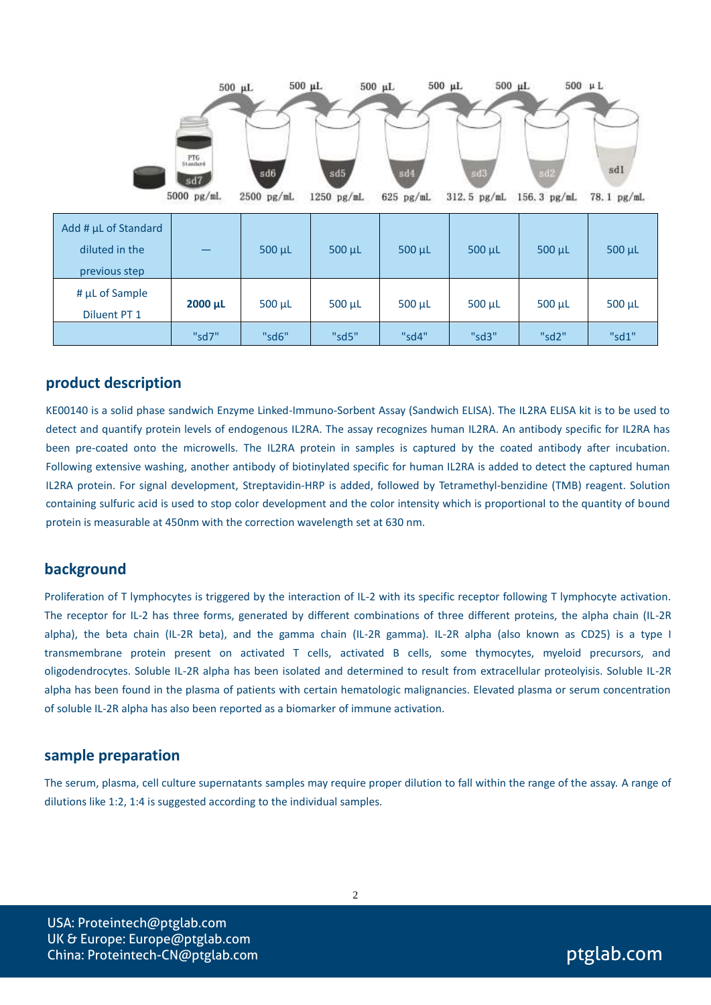|                                                         | $500$ $\mu$ L<br>PTG<br>Standard<br>sd7<br>5000 pg/mL | $500 \mu L$<br>$_{\rm sd6}$<br>$2500$ pg/mL | $500 \text{ }\mu\text{L}$<br>sd5<br>1250 pg/mL | $500$ $\mu$ L<br>sd4<br>$625$ pg/mL | $500$ $\mu$ L<br>sd3<br>312.5 pg/mL | $500 \text{ }\mu\text{L}$<br>sd2<br>156.3 pg/mL | sdl<br>78.1 pg/mL |
|---------------------------------------------------------|-------------------------------------------------------|---------------------------------------------|------------------------------------------------|-------------------------------------|-------------------------------------|-------------------------------------------------|-------------------|
| Add # µL of Standard<br>diluted in the<br>previous step |                                                       | 500 µL                                      | 500 µL                                         | 500 µL                              | $500 \mu L$                         | $500 \mu L$                                     | $500 \mu L$       |
| # µL of Sample<br>Diluent PT 1                          | 2000 µL                                               | $500 \mu L$                                 | $500 \mu L$                                    | 500 µL                              | $500 \mu L$                         | $500 \mu L$                                     | $500 \mu L$       |
|                                                         | "sd7"                                                 | "sd6"                                       | "sd5"                                          | "sd4"                               | "sd3"                               | "sd2"                                           | "sd1"             |

#### **product description**

KE00140 is a solid phase sandwich Enzyme Linked-Immuno-Sorbent Assay (Sandwich ELISA). The IL2RA ELISA kit is to be used to detect and quantify protein levels of endogenous IL2RA. The assay recognizes human IL2RA. An antibody specific for IL2RA has been pre-coated onto the microwells. The IL2RA protein in samples is captured by the coated antibody after incubation. Following extensive washing, another antibody of biotinylated specific for human IL2RA is added to detect the captured human IL2RA protein. For signal development, Streptavidin-HRP is added, followed by Tetramethyl-benzidine (TMB) reagent. Solution containing sulfuric acid is used to stop color development and the color intensity which is proportional to the quantity of bound protein is measurable at 450nm with the correction wavelength set at 630 nm.

#### **background**

Proliferation of T lymphocytes is triggered by the interaction of IL-2 with its specific receptor following T lymphocyte activation. The receptor for IL-2 has three forms, generated by different combinations of three different proteins, the alpha chain (IL-2R alpha), the beta chain (IL-2R beta), and the gamma chain (IL-2R gamma). IL-2R alpha (also known as CD25) is a type I transmembrane protein present on activated T cells, activated B cells, some thymocytes, myeloid precursors, and oligodendrocytes. Soluble IL-2R alpha has been isolated and determined to result from extracellular proteolyisis. Soluble IL-2R alpha has been found in the plasma of patients with certain hematologic malignancies. Elevated plasma or serum concentration of soluble IL-2R alpha has also been reported as a biomarker of immune activation.

#### **sample preparation**

The serum, plasma, cell culture supernatants samples may require proper dilution to fall within the range of the assay. A range of dilutions like 1:2, 1:4 is suggested according to the individual samples.

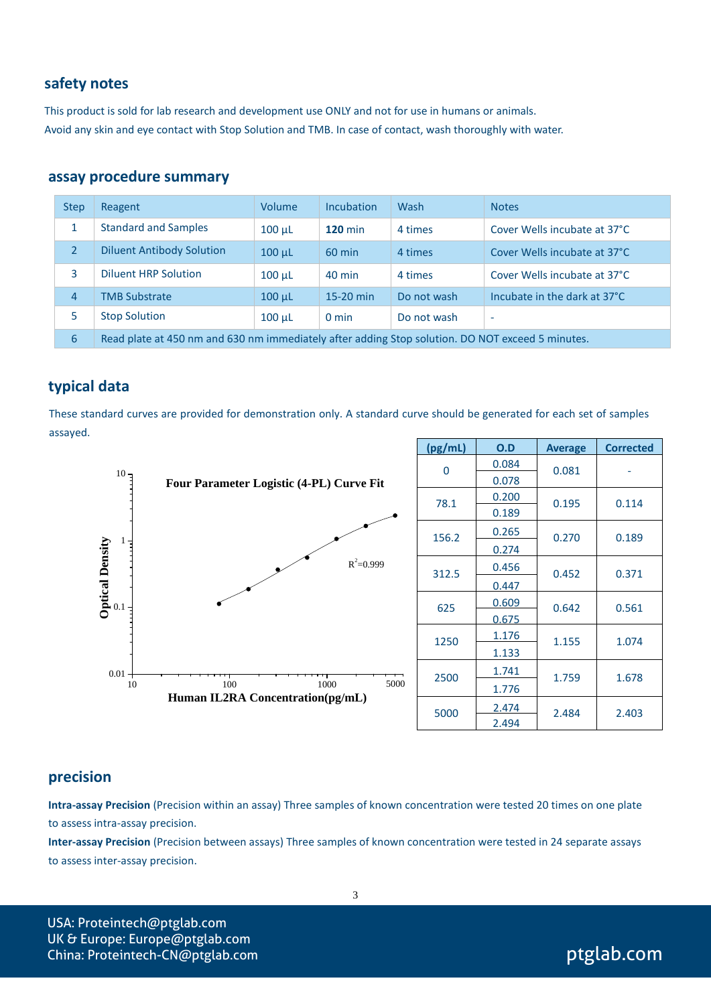## **safety notes**

This product is sold for lab research and development use ONLY and not for use in humans or animals. Avoid any skin and eye contact with Stop Solution and TMB. In case of contact, wash thoroughly with water.

#### **assay procedure summary**

| <b>Step</b>    | Reagent                                                                                          | Volume      | <b>Incubation</b> | Wash        | <b>Notes</b>                 |
|----------------|--------------------------------------------------------------------------------------------------|-------------|-------------------|-------------|------------------------------|
| 1              | <b>Standard and Samples</b>                                                                      | $100 \mu L$ | <b>120 min</b>    | 4 times     | Cover Wells incubate at 37°C |
| 2              | <b>Diluent Antibody Solution</b>                                                                 | $100 \mu L$ | $60$ min          | 4 times     | Cover Wells incubate at 37°C |
| 3              | Diluent HRP Solution                                                                             | $100 \mu L$ | $40 \text{ min}$  | 4 times     | Cover Wells incubate at 37°C |
| $\overline{4}$ | <b>TMB Substrate</b>                                                                             | $100 \mu L$ | 15-20 min         | Do not wash | Incubate in the dark at 37°C |
| 5              | <b>Stop Solution</b>                                                                             | $100 \mu L$ | $0 \text{ min}$   | Do not wash | $\overline{\phantom{a}}$     |
| 6              | Read plate at 450 nm and 630 nm immediately after adding Stop solution. DO NOT exceed 5 minutes. |             |                   |             |                              |

## **typical data**

These standard curves are provided for demonstration only. A standard curve should be generated for each set of samples assayed.



## **precision**

**Intra-assay Precision** (Precision within an assay) Three samples of known concentration were tested 20 times on one plate to assess intra-assay precision.

**Inter-assay Precision** (Precision between assays) Three samples of known concentration were tested in 24 separate assays to assess inter-assay precision.

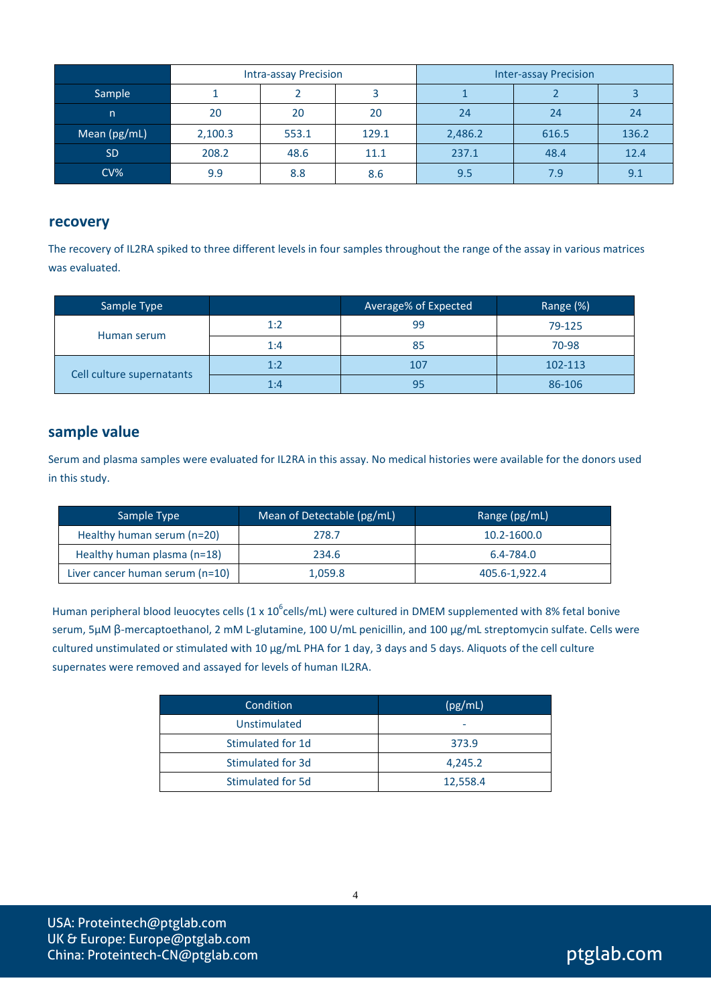|                 | <b>Intra-assay Precision</b> |       |       | <b>Inter-assay Precision</b> |       |       |
|-----------------|------------------------------|-------|-------|------------------------------|-------|-------|
| Sample          |                              |       |       |                              |       |       |
| n               | 20                           | 20    | 20    | 24                           | 24    | 24    |
| Mean (pg/mL)    | 2,100.3                      | 553.1 | 129.1 | 2,486.2                      | 616.5 | 136.2 |
| <b>SD</b>       | 208.2                        | 48.6  | 11.1  | 237.1                        | 48.4  | 12.4  |
| CV <sub>6</sub> | 9.9                          | 8.8   | 8.6   | 9.5                          | 7.9   | 9.1   |

#### **recovery**

The recovery of IL2RA spiked to three different levels in four samples throughout the range of the assay in various matrices was evaluated.

| Sample Type               |     | Average% of Expected | Range (%) |
|---------------------------|-----|----------------------|-----------|
|                           | 1:2 | 99                   | 79-125    |
| Human serum               | 1:4 | 85                   | 70-98     |
| Cell culture supernatants | 1:2 | 107                  | 102-113   |
|                           | 1:4 | 95                   | 86-106    |

## **sample value**

Serum and plasma samples were evaluated for IL2RA in this assay. No medical histories were available for the donors used in this study.

| Sample Type                     | Mean of Detectable (pg/mL) | Range (pg/mL) |
|---------------------------------|----------------------------|---------------|
| Healthy human serum (n=20)      | 278.7                      | 10.2-1600.0   |
| Healthy human plasma (n=18)     | 234.6                      | 6.4-784.0     |
| Liver cancer human serum (n=10) | 1,059.8                    | 405.6-1,922.4 |

Human peripheral blood leuocytes cells (1 x 10<sup>6</sup>cells/mL) were cultured in DMEM supplemented with 8% fetal bonive serum, 5μM β-mercaptoethanol, 2 mM L-glutamine, 100 U/mL penicillin, and 100 μg/mL streptomycin sulfate. Cells were cultured unstimulated or stimulated with 10 μg/mL PHA for 1 day, 3 days and 5 days. Aliquots of the cell culture supernates were removed and assayed for levels of human IL2RA.

| Condition         | (pg/mL)  |
|-------------------|----------|
| Unstimulated      |          |
| Stimulated for 1d | 373.9    |
| Stimulated for 3d | 4,245.2  |
| Stimulated for 5d | 12,558.4 |